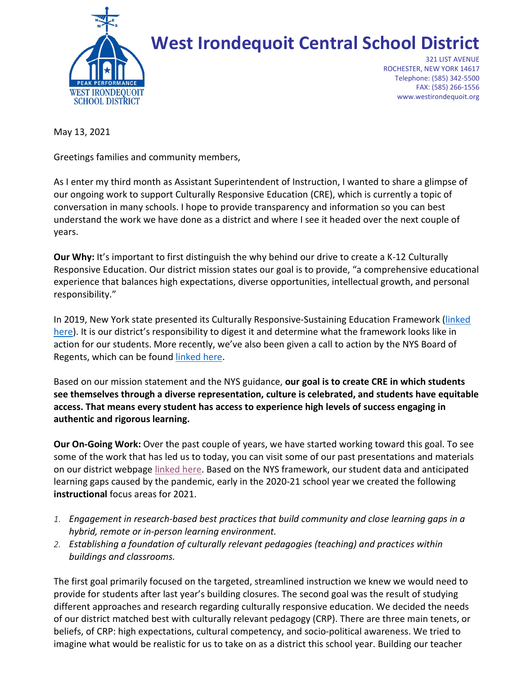

## **West Irondequoit Central School District**

321 LIST AVENUE ROCHESTER, NEW YORK 14617 Telephone: (585) 342-5500 FAX: (585) 266-1556 www.westirondequoit.org

May 13, 2021

Greetings families and community members,

As I enter my third month as Assistant Superintendent of Instruction, I wanted to share a glimpse of our ongoing work to support Culturally Responsive Education (CRE), which is currently a topic of conversation in many schools. I hope to provide transparency and information so you can best understand the work we have done as a district and where I see it headed over the next couple of years.

**Our Why:** It's important to first distinguish the why behind our drive to create a K-12 Culturally Responsive Education. Our district mission states our goal is to provide, "a comprehensive educational experience that balances high expectations, diverse opportunities, intellectual growth, and personal responsibility."

In 2019, New York state presented its Culturally Responsive-Sustaining Education Framework [\(linked](http://www.nysed.gov/common/nysed/files/programs/crs/culturally-responsive-sustaining-education-framework.pdf)  [here\)](http://www.nysed.gov/common/nysed/files/programs/crs/culturally-responsive-sustaining-education-framework.pdf). It is our district's responsibility to digest it and determine what the framework looks like in action for our students. More recently, we've also been given a call to action by the NYS Board of Regents, which can be found [linked here.](http://www.nysed.gov/news/2021/new-york-state-board-regents-launches-initiative-advance-diversity-equity-and-inclusion.)

Based on our mission statement and the NYS guidance, **our goal is to create CRE in which students see themselves through a diverse representation, culture is celebrated, and students have equitable access. That means every student has access to experience high levels of success engaging in authentic and rigorous learning.**

**Our On-Going Work:** Over the past couple of years, we have started working toward this goal. To see some of the work that has led us to today, you can visit some of our past presentations and materials on our district webpag[e linked here.](http://bit.ly/WI_DEIpage) Based on the NYS framework, our student data and anticipated learning gaps caused by the pandemic, early in the 2020-21 school year we created the following **instructional** focus areas for 2021.

- *1. Engagement in research-based best practices that build community and close learning gaps in a hybrid, remote or in-person learning environment.*
- *2. Establishing a foundation of culturally relevant pedagogies (teaching) and practices within buildings and classrooms.*

The first goal primarily focused on the targeted, streamlined instruction we knew we would need to provide for students after last year's building closures. The second goal was the result of studying different approaches and research regarding culturally responsive education. We decided the needs of our district matched best with culturally relevant pedagogy (CRP). There are three main tenets, or beliefs, of CRP: high expectations, cultural competency, and socio-political awareness. We tried to imagine what would be realistic for us to take on as a district this school year. Building our teacher